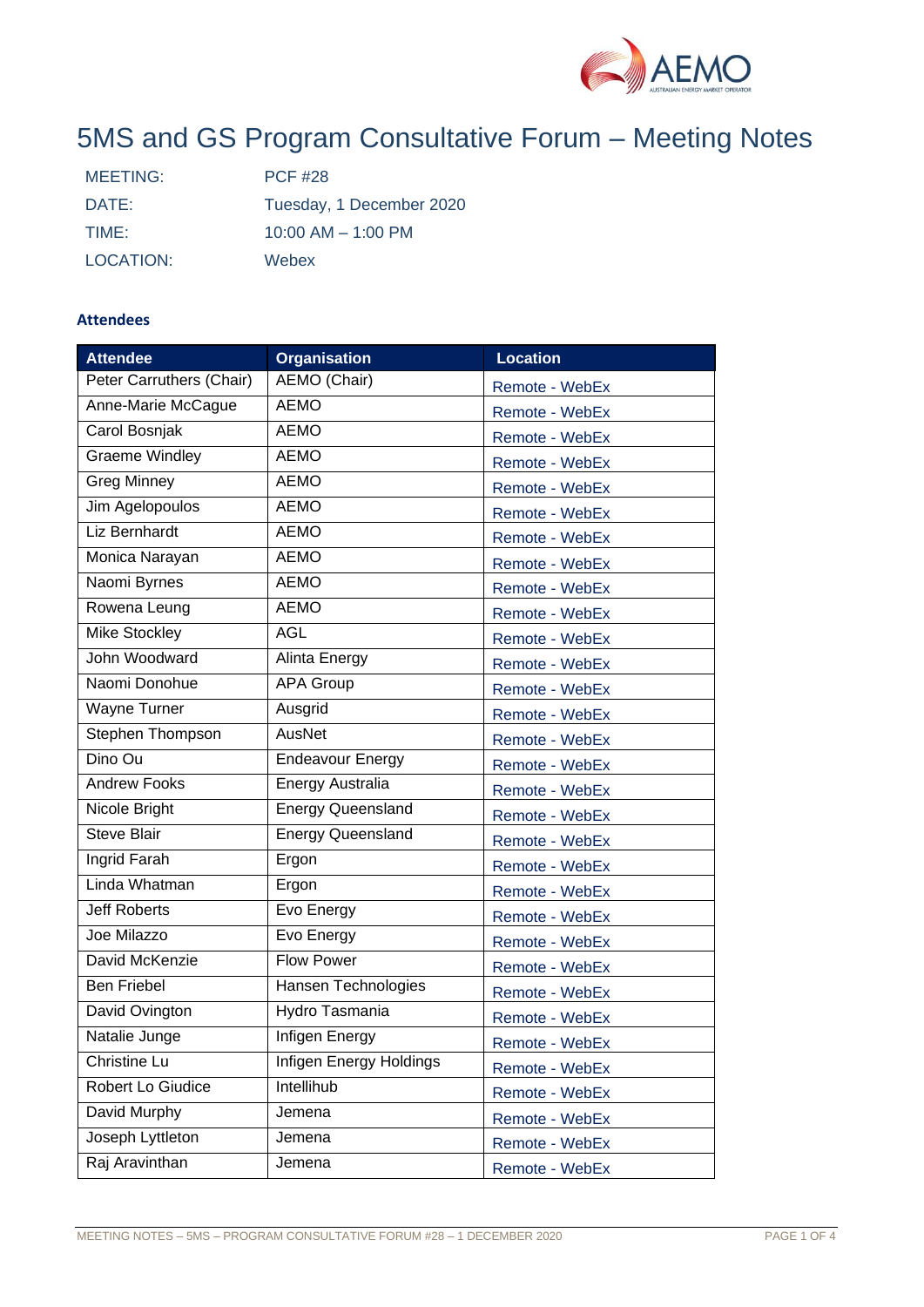

# 5MS and GS Program Consultative Forum – Meeting Notes

| MEETING:  | <b>PCF #28</b>           |
|-----------|--------------------------|
| DATE:     | Tuesday, 1 December 2020 |
| TIME:     | $10:00$ AM $- 1:00$ PM   |
| LOCATION: | Webex                    |

# **Attendees**

| <b>Attendee</b>          | <b>Organisation</b>      | <b>Location</b> |  |
|--------------------------|--------------------------|-----------------|--|
| Peter Carruthers (Chair) | AEMO (Chair)             | Remote - WebEx  |  |
| Anne-Marie McCague       | <b>AEMO</b>              | Remote - WebEx  |  |
| Carol Bosnjak            | <b>AEMO</b>              | Remote - WebEx  |  |
| <b>Graeme Windley</b>    | <b>AEMO</b>              | Remote - WebEx  |  |
| <b>Greg Minney</b>       | <b>AEMO</b>              | Remote - WebEx  |  |
| Jim Agelopoulos          | <b>AEMO</b>              | Remote - WebEx  |  |
| Liz Bernhardt            | <b>AEMO</b>              | Remote - WebEx  |  |
| Monica Narayan           | <b>AEMO</b>              | Remote - WebEx  |  |
| Naomi Byrnes             | <b>AEMO</b>              | Remote - WebEx  |  |
| Rowena Leung             | <b>AEMO</b>              | Remote - WebEx  |  |
| Mike Stockley            | <b>AGL</b>               | Remote - WebEx  |  |
| John Woodward            | Alinta Energy            | Remote - WebEx  |  |
| Naomi Donohue            | <b>APA Group</b>         | Remote - WebEx  |  |
| <b>Wayne Turner</b>      | Ausgrid                  | Remote - WebEx  |  |
| Stephen Thompson         | AusNet                   | Remote - WebEx  |  |
| Dino Ou                  | <b>Endeavour Energy</b>  | Remote - WebEx  |  |
| <b>Andrew Fooks</b>      | <b>Energy Australia</b>  | Remote - WebEx  |  |
| Nicole Bright            | <b>Energy Queensland</b> | Remote - WebEx  |  |
| <b>Steve Blair</b>       | <b>Energy Queensland</b> | Remote - WebEx  |  |
| Ingrid Farah             | Ergon                    | Remote - WebEx  |  |
| Linda Whatman            | Ergon                    | Remote - WebEx  |  |
| <b>Jeff Roberts</b>      | Evo Energy               | Remote - WebEx  |  |
| Joe Milazzo              | Evo Energy               | Remote - WebEx  |  |
| David McKenzie           | <b>Flow Power</b>        | Remote - WebEx  |  |
| <b>Ben Friebel</b>       | Hansen Technologies      | Remote - WebEx  |  |
| David Ovington           | Hydro Tasmania           | Remote - WebEx  |  |
| Natalie Junge            | Infigen Energy           | Remote - WebEx  |  |
| Christine Lu             | Infigen Energy Holdings  | Remote - WebEx  |  |
| Robert Lo Giudice        | Intellihub               | Remote - WebEx  |  |
| David Murphy             | Jemena                   | Remote - WebEx  |  |
| Joseph Lyttleton         | Jemena                   | Remote - WebEx  |  |
| Raj Aravinthan           | Jemena                   | Remote - WebEx  |  |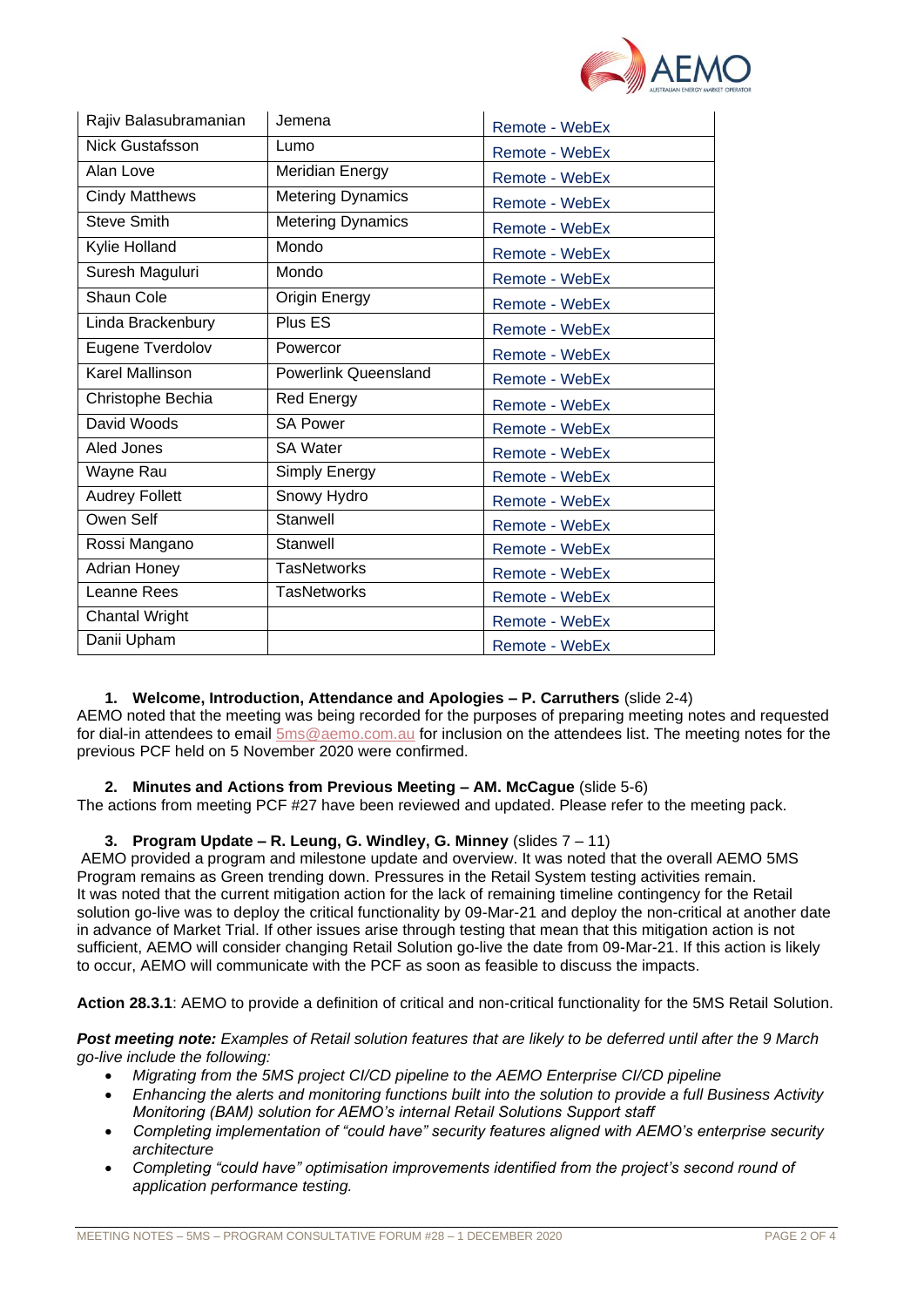

| Rajiv Balasubramanian  | Jemena                      | Remote - WebEx |  |
|------------------------|-----------------------------|----------------|--|
| <b>Nick Gustafsson</b> | Lumo                        | Remote - WebEx |  |
| Alan Love              | <b>Meridian Energy</b>      | Remote - WebEx |  |
| <b>Cindy Matthews</b>  | <b>Metering Dynamics</b>    | Remote - WebEx |  |
| <b>Steve Smith</b>     | <b>Metering Dynamics</b>    | Remote - WebEx |  |
| Kylie Holland          | Mondo                       | Remote - WebEx |  |
| Suresh Maguluri        | Mondo                       | Remote - WebEx |  |
| Shaun Cole             | <b>Origin Energy</b>        | Remote - WebEx |  |
| Linda Brackenbury      | Plus ES                     | Remote - WebEx |  |
| Eugene Tverdolov       | Powercor                    | Remote - WebEx |  |
| Karel Mallinson        | <b>Powerlink Queensland</b> | Remote - WebEx |  |
| Christophe Bechia      | <b>Red Energy</b>           | Remote - WebEx |  |
| David Woods            | <b>SA Power</b>             | Remote - WebEx |  |
| Aled Jones             | <b>SA Water</b>             | Remote - WebEx |  |
| Wayne Rau              | Simply Energy               | Remote - WebEx |  |
| <b>Audrey Follett</b>  | Snowy Hydro                 | Remote - WebEx |  |
| Owen Self              | Stanwell                    | Remote - WebEx |  |
| Rossi Mangano          | Stanwell                    | Remote - WebEx |  |
| Adrian Honey           | <b>TasNetworks</b>          | Remote - WebEx |  |
| Leanne Rees            | <b>TasNetworks</b>          | Remote - WebEx |  |
| <b>Chantal Wright</b>  |                             | Remote - WebEx |  |
| Danii Upham            |                             | Remote - WebEx |  |

## **1. Welcome, Introduction, Attendance and Apologies – P. Carruthers** (slide 2-4)

AEMO noted that the meeting was being recorded for the purposes of preparing meeting notes and requested for dial-in attendees to email [5ms@aemo.com.au](mailto:5ms@aemo.com.au) for inclusion on the attendees list. The meeting notes for the previous PCF held on 5 November 2020 were confirmed.

#### **2. Minutes and Actions from Previous Meeting – AM. McCague** (slide 5-6)

The actions from meeting PCF #27 have been reviewed and updated. Please refer to the meeting pack.

# **3. Program Update – R. Leung, G. Windley, G. Minney** (slides 7 – 11)

AEMO provided a program and milestone update and overview. It was noted that the overall AEMO 5MS Program remains as Green trending down. Pressures in the Retail System testing activities remain. It was noted that the current mitigation action for the lack of remaining timeline contingency for the Retail solution go-live was to deploy the critical functionality by 09-Mar-21 and deploy the non-critical at another date in advance of Market Trial. If other issues arise through testing that mean that this mitigation action is not sufficient, AEMO will consider changing Retail Solution go-live the date from 09-Mar-21. If this action is likely to occur, AEMO will communicate with the PCF as soon as feasible to discuss the impacts.

**Action 28.3.1**: AEMO to provide a definition of critical and non-critical functionality for the 5MS Retail Solution.

*Post meeting note: Examples of Retail solution features that are likely to be deferred until after the 9 March go-live include the following:*

- *Migrating from the 5MS project CI/CD pipeline to the AEMO Enterprise CI/CD pipeline*
- *Enhancing the alerts and monitoring functions built into the solution to provide a full Business Activity Monitoring (BAM) solution for AEMO's internal Retail Solutions Support staff*
- *Completing implementation of "could have" security features aligned with AEMO's enterprise security architecture*
- *Completing "could have" optimisation improvements identified from the project's second round of application performance testing.*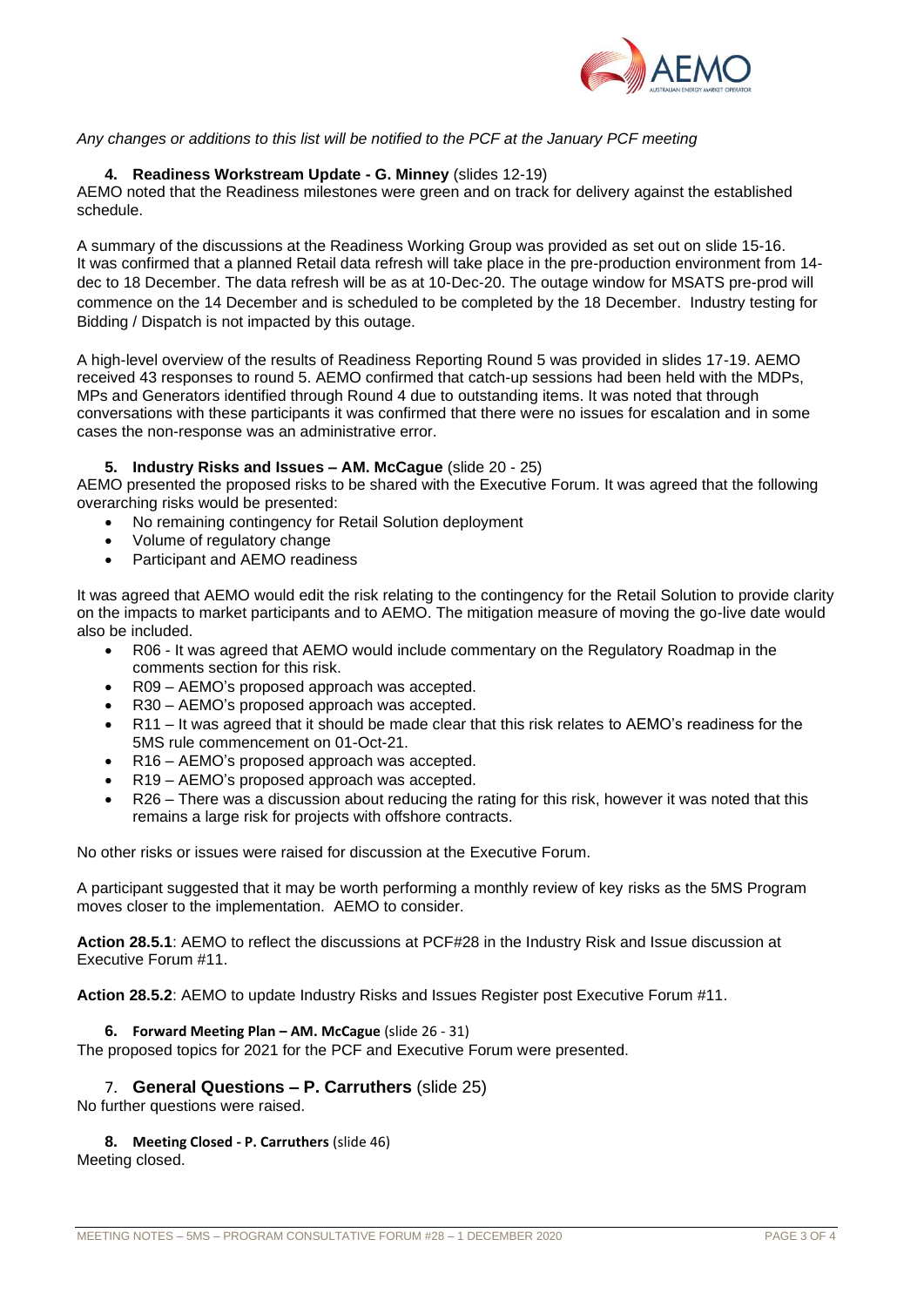

# *Any changes or additions to this list will be notified to the PCF at the January PCF meeting*

## **4. Readiness Workstream Update - G. Minney** (slides 12-19)

AEMO noted that the Readiness milestones were green and on track for delivery against the established schedule.

A summary of the discussions at the Readiness Working Group was provided as set out on slide 15-16. It was confirmed that a planned Retail data refresh will take place in the pre-production environment from 14 dec to 18 December. The data refresh will be as at 10-Dec-20. The outage window for MSATS pre-prod will commence on the 14 December and is scheduled to be completed by the 18 December. Industry testing for Bidding / Dispatch is not impacted by this outage.

A high-level overview of the results of Readiness Reporting Round 5 was provided in slides 17-19. AEMO received 43 responses to round 5. AEMO confirmed that catch-up sessions had been held with the MDPs, MPs and Generators identified through Round 4 due to outstanding items. It was noted that through conversations with these participants it was confirmed that there were no issues for escalation and in some cases the non-response was an administrative error.

#### **5. Industry Risks and Issues – AM. McCague** (slide 20 - 25)

AEMO presented the proposed risks to be shared with the Executive Forum. It was agreed that the following overarching risks would be presented:

- No remaining contingency for Retail Solution deployment
- Volume of regulatory change
- Participant and AEMO readiness

It was agreed that AEMO would edit the risk relating to the contingency for the Retail Solution to provide clarity on the impacts to market participants and to AEMO. The mitigation measure of moving the go-live date would also be included.

- R06 It was agreed that AEMO would include commentary on the Regulatory Roadmap in the comments section for this risk.
- R09 AEMO's proposed approach was accepted.
- R30 AEMO's proposed approach was accepted.
- R11 It was agreed that it should be made clear that this risk relates to AEMO's readiness for the 5MS rule commencement on 01-Oct-21.
- R16 AEMO's proposed approach was accepted.
- R19 AEMO's proposed approach was accepted.
- R26 There was a discussion about reducing the rating for this risk, however it was noted that this remains a large risk for projects with offshore contracts.

No other risks or issues were raised for discussion at the Executive Forum.

A participant suggested that it may be worth performing a monthly review of key risks as the 5MS Program moves closer to the implementation. AEMO to consider.

**Action 28.5.1**: AEMO to reflect the discussions at PCF#28 in the Industry Risk and Issue discussion at Executive Forum #11.

**Action 28.5.2**: AEMO to update Industry Risks and Issues Register post Executive Forum #11.

#### **6. Forward Meeting Plan – AM. McCague** (slide 26 - 31)

The proposed topics for 2021 for the PCF and Executive Forum were presented.

## 7. **General Questions – P. Carruthers** (slide 25)

No further questions were raised.

#### **8. Meeting Closed - P. Carruthers** (slide 46)

Meeting closed.